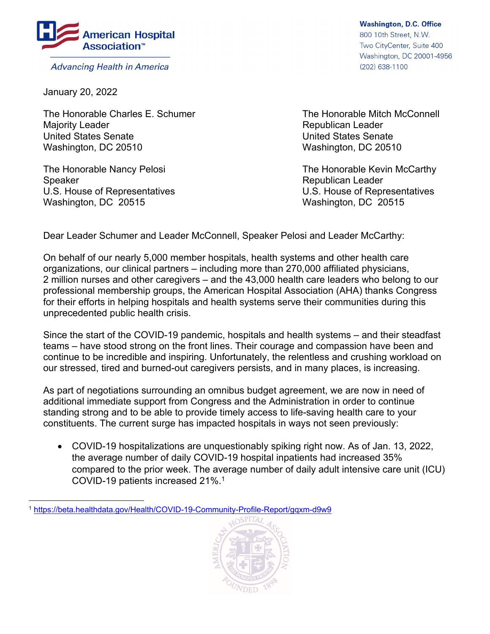

**Advancing Health in America** 

January 20, 2022

 $\overline{a}$ 

The Honorable Charles E. Schumer The Honorable Mitch McConnell Majority Leader **Republican Leader Republican Leader Republican Leader** United States Senate United States Senate Washington, DC 20510 Washington, DC 20510

Speaker Republican Leader Washington, DC 20515 Washington, DC 20515

**Washington, D.C. Office** 800 10th Street, N.W. Two CityCenter, Suite 400 Washington, DC 20001-4956 (202) 638-1100

The Honorable Nancy Pelosi **The Honorable Kevin McCarthy** U.S. House of Representatives U.S. House of Representatives

Dear Leader Schumer and Leader McConnell, Speaker Pelosi and Leader McCarthy:

On behalf of our nearly 5,000 member hospitals, health systems and other health care organizations, our clinical partners – including more than 270,000 affiliated physicians, 2 million nurses and other caregivers – and the 43,000 health care leaders who belong to our professional membership groups, the American Hospital Association (AHA) thanks Congress for their efforts in helping hospitals and health systems serve their communities during this unprecedented public health crisis.

Since the start of the COVID-19 pandemic, hospitals and health systems – and their steadfast teams – have stood strong on the front lines. Their courage and compassion have been and continue to be incredible and inspiring. Unfortunately, the relentless and crushing workload on our stressed, tired and burned-out caregivers persists, and in many places, is increasing.

As part of negotiations surrounding an omnibus budget agreement, we are now in need of additional immediate support from Congress and the Administration in order to continue standing strong and to be able to provide timely access to life-saving health care to your constituents. The current surge has impacted hospitals in ways not seen previously:

 COVID-19 hospitalizations are unquestionably spiking right now. As of Jan. 13, 2022, the average number of daily COVID-19 hospital inpatients had increased 35% compared to the prior week. The average number of daily adult intensive care unit (ICU) COVID-19 patients increased 21%.1

<sup>1</sup> https://beta.healthdata.gov/Health/COVID-19-Community-Profile-Report/gqxm-d9w9

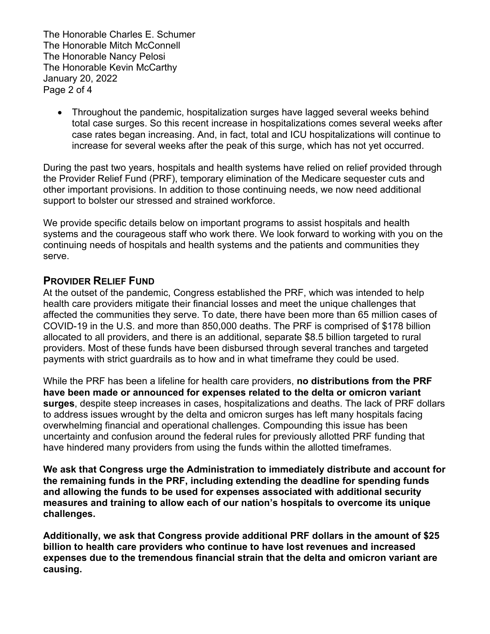The Honorable Charles E. Schumer The Honorable Mitch McConnell The Honorable Nancy Pelosi The Honorable Kevin McCarthy January 20, 2022 Page 2 of 4

 Throughout the pandemic, hospitalization surges have lagged several weeks behind total case surges. So this recent increase in hospitalizations comes several weeks after case rates began increasing. And, in fact, total and ICU hospitalizations will continue to increase for several weeks after the peak of this surge, which has not yet occurred.

During the past two years, hospitals and health systems have relied on relief provided through the Provider Relief Fund (PRF), temporary elimination of the Medicare sequester cuts and other important provisions. In addition to those continuing needs, we now need additional support to bolster our stressed and strained workforce.

We provide specific details below on important programs to assist hospitals and health systems and the courageous staff who work there. We look forward to working with you on the continuing needs of hospitals and health systems and the patients and communities they serve.

## **PROVIDER RELIEF FUND**

At the outset of the pandemic, Congress established the PRF, which was intended to help health care providers mitigate their financial losses and meet the unique challenges that affected the communities they serve. To date, there have been more than 65 million cases of COVID-19 in the U.S. and more than 850,000 deaths. The PRF is comprised of \$178 billion allocated to all providers, and there is an additional, separate \$8.5 billion targeted to rural providers. Most of these funds have been disbursed through several tranches and targeted payments with strict guardrails as to how and in what timeframe they could be used.

While the PRF has been a lifeline for health care providers, **no distributions from the PRF have been made or announced for expenses related to the delta or omicron variant surges**, despite steep increases in cases, hospitalizations and deaths. The lack of PRF dollars to address issues wrought by the delta and omicron surges has left many hospitals facing overwhelming financial and operational challenges. Compounding this issue has been uncertainty and confusion around the federal rules for previously allotted PRF funding that have hindered many providers from using the funds within the allotted timeframes.

**We ask that Congress urge the Administration to immediately distribute and account for the remaining funds in the PRF, including extending the deadline for spending funds and allowing the funds to be used for expenses associated with additional security measures and training to allow each of our nation's hospitals to overcome its unique challenges.** 

**Additionally, we ask that Congress provide additional PRF dollars in the amount of \$25 billion to health care providers who continue to have lost revenues and increased expenses due to the tremendous financial strain that the delta and omicron variant are causing.**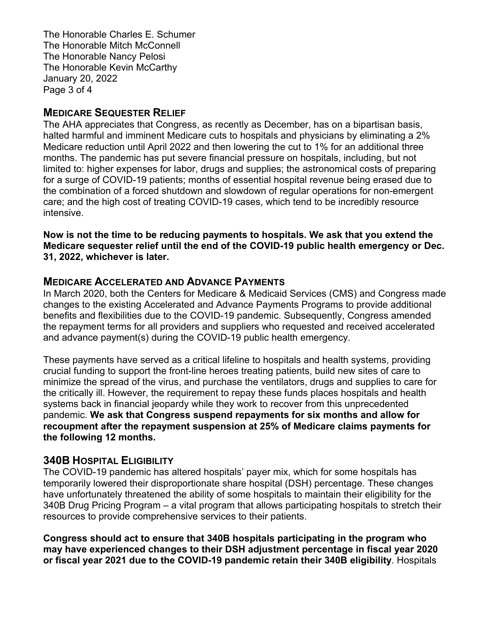The Honorable Charles E. Schumer The Honorable Mitch McConnell The Honorable Nancy Pelosi The Honorable Kevin McCarthy January 20, 2022 Page 3 of 4

## **MEDICARE SEQUESTER RELIEF**

The AHA appreciates that Congress, as recently as December, has on a bipartisan basis, halted harmful and imminent Medicare cuts to hospitals and physicians by eliminating a 2% Medicare reduction until April 2022 and then lowering the cut to 1% for an additional three months. The pandemic has put severe financial pressure on hospitals, including, but not limited to: higher expenses for labor, drugs and supplies; the astronomical costs of preparing for a surge of COVID-19 patients; months of essential hospital revenue being erased due to the combination of a forced shutdown and slowdown of regular operations for non-emergent care; and the high cost of treating COVID-19 cases, which tend to be incredibly resource intensive.

**Now is not the time to be reducing payments to hospitals. We ask that you extend the Medicare sequester relief until the end of the COVID-19 public health emergency or Dec. 31, 2022, whichever is later.**

## **MEDICARE ACCELERATED AND ADVANCE PAYMENTS**

In March 2020, both the Centers for Medicare & Medicaid Services (CMS) and Congress made changes to the existing Accelerated and Advance Payments Programs to provide additional benefits and flexibilities due to the COVID-19 pandemic. Subsequently, Congress amended the repayment terms for all providers and suppliers who requested and received accelerated and advance payment(s) during the COVID-19 public health emergency.

These payments have served as a critical lifeline to hospitals and health systems, providing crucial funding to support the front-line heroes treating patients, build new sites of care to minimize the spread of the virus, and purchase the ventilators, drugs and supplies to care for the critically ill. However, the requirement to repay these funds places hospitals and health systems back in financial jeopardy while they work to recover from this unprecedented pandemic. **We ask that Congress suspend repayments for six months and allow for recoupment after the repayment suspension at 25% of Medicare claims payments for the following 12 months.** 

## **340B HOSPITAL ELIGIBILITY**

The COVID-19 pandemic has altered hospitals' payer mix, which for some hospitals has temporarily lowered their disproportionate share hospital (DSH) percentage. These changes have unfortunately threatened the ability of some hospitals to maintain their eligibility for the 340B Drug Pricing Program – a vital program that allows participating hospitals to stretch their resources to provide comprehensive services to their patients.

**Congress should act to ensure that 340B hospitals participating in the program who may have experienced changes to their DSH adjustment percentage in fiscal year 2020 or fiscal year 2021 due to the COVID-19 pandemic retain their 340B eligibility**. Hospitals